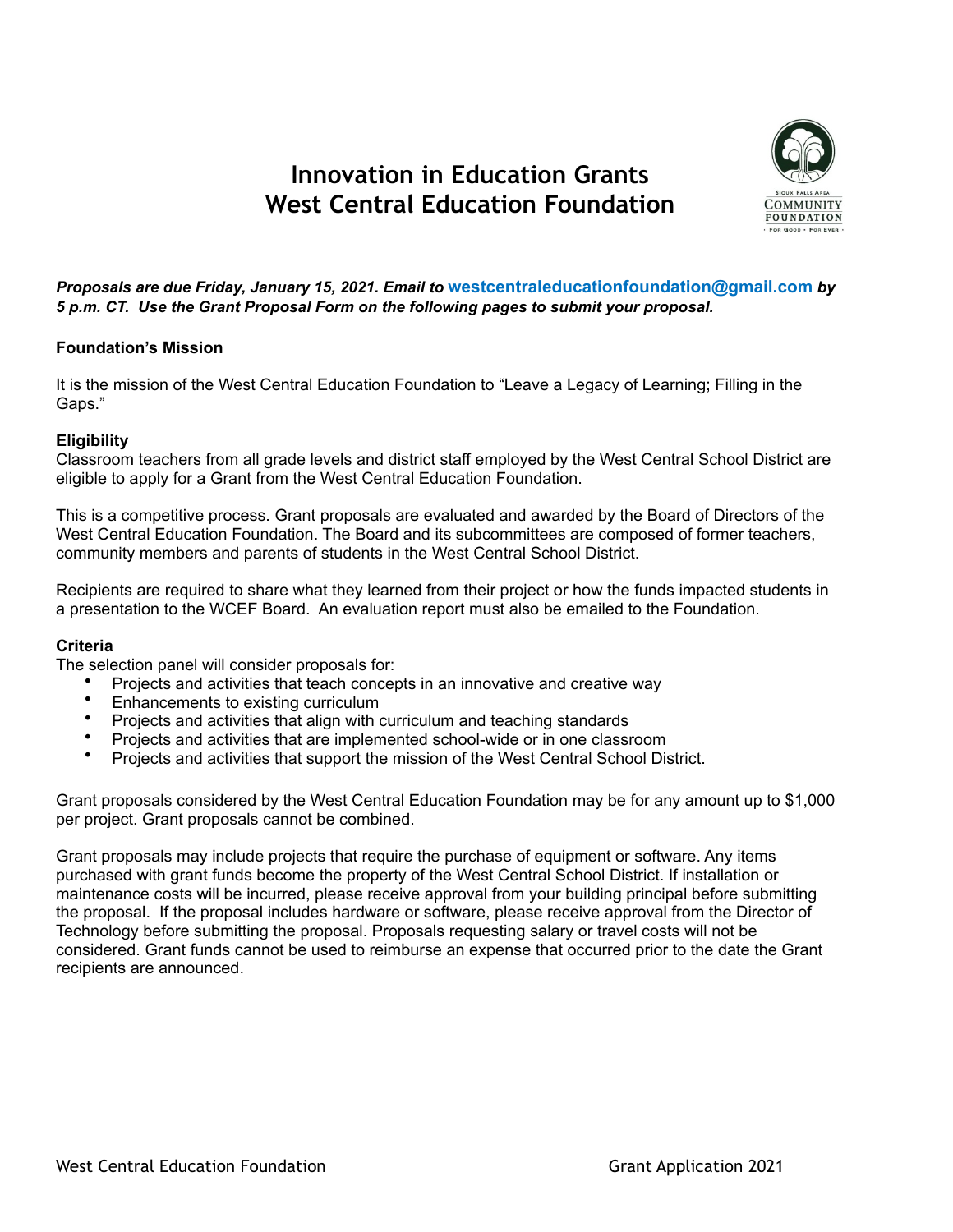# **Innovation in Education Grants West Central Education Foundation**



*Proposals are due Friday, January 15, 2021. Email to* **westcentraleducationfoundation@gmail.com** *by 5 p.m. CT. Use the Grant Proposal Form on the following pages to submit your proposal.* 

#### **Foundation's Mission**

It is the mission of the West Central Education Foundation to "Leave a Legacy of Learning; Filling in the Gaps."

### **Eligibility**

Classroom teachers from all grade levels and district staff employed by the West Central School District are eligible to apply for a Grant from the West Central Education Foundation.

This is a competitive process. Grant proposals are evaluated and awarded by the Board of Directors of the West Central Education Foundation. The Board and its subcommittees are composed of former teachers, community members and parents of students in the West Central School District.

Recipients are required to share what they learned from their project or how the funds impacted students in a presentation to the WCEF Board. An evaluation report must also be emailed to the Foundation.

#### **Criteria**

The selection panel will consider proposals for:

- Projects and activities that teach concepts in an innovative and creative way
- Enhancements to existing curriculum
- Projects and activities that align with curriculum and teaching standards
- Projects and activities that are implemented school-wide or in one classroom
- Projects and activities that support the mission of the West Central School District.

Grant proposals considered by the West Central Education Foundation may be for any amount up to \$1,000 per project. Grant proposals cannot be combined.

Grant proposals may include projects that require the purchase of equipment or software. Any items purchased with grant funds become the property of the West Central School District. If installation or maintenance costs will be incurred, please receive approval from your building principal before submitting the proposal. If the proposal includes hardware or software, please receive approval from the Director of Technology before submitting the proposal. Proposals requesting salary or travel costs will not be considered. Grant funds cannot be used to reimburse an expense that occurred prior to the date the Grant recipients are announced.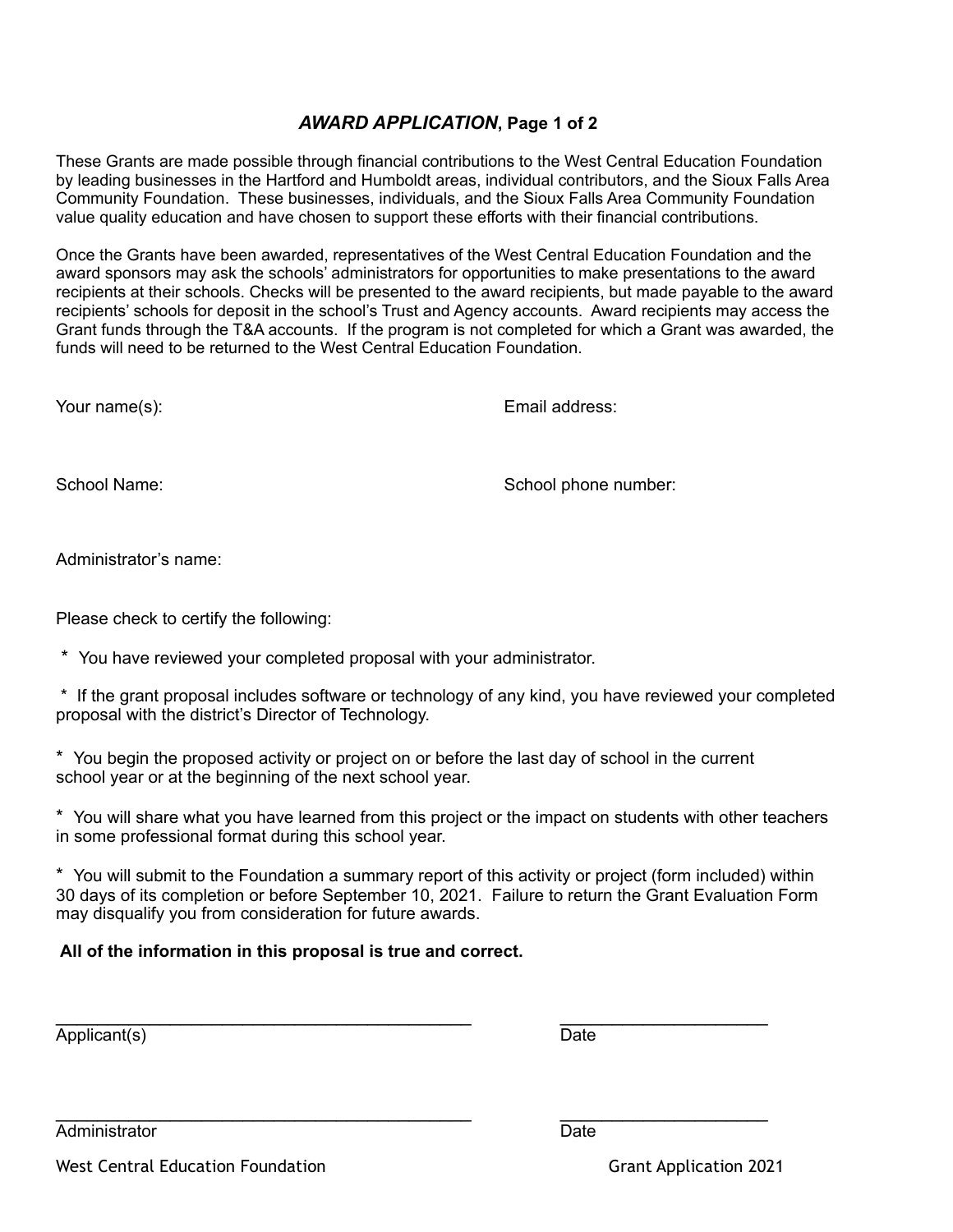## *AWARD APPLICATION***, Page 1 of 2**

These Grants are made possible through financial contributions to the West Central Education Foundation by leading businesses in the Hartford and Humboldt areas, individual contributors, and the Sioux Falls Area Community Foundation. These businesses, individuals, and the Sioux Falls Area Community Foundation value quality education and have chosen to support these efforts with their financial contributions.

Once the Grants have been awarded, representatives of the West Central Education Foundation and the award sponsors may ask the schools' administrators for opportunities to make presentations to the award recipients at their schools. Checks will be presented to the award recipients, but made payable to the award recipients' schools for deposit in the school's Trust and Agency accounts. Award recipients may access the Grant funds through the T&A accounts. If the program is not completed for which a Grant was awarded, the funds will need to be returned to the West Central Education Foundation.

Your name(s): Email address:

School Name: School phone number:

Administrator's name:

Please check to certify the following:

\* You have reviewed your completed proposal with your administrator.

 \* If the grant proposal includes software or technology of any kind, you have reviewed your completed proposal with the district's Director of Technology.

\* You begin the proposed activity or project on or before the last day of school in the current school year or at the beginning of the next school year.

\* You will share what you have learned from this project or the impact on students with other teachers in some professional format during this school year.

\* You will submit to the Foundation a summary report of this activity or project (form included) within 30 days of its completion or before September 10, 2021. Failure to return the Grant Evaluation Form may disqualify you from consideration for future awards.

\_\_\_\_\_\_\_\_\_\_\_\_\_\_\_\_\_\_\_\_\_\_\_\_\_\_\_\_\_\_\_\_\_\_\_\_\_\_\_\_ \_\_\_\_\_\_\_\_\_\_\_\_\_\_\_\_\_\_\_\_

### **All of the information in this proposal is true and correct.**

Applicant(s) Date

\_\_\_\_\_\_\_\_\_\_\_\_\_\_\_\_\_\_\_\_\_\_\_\_\_\_\_\_\_\_\_\_\_\_\_\_\_\_\_\_ \_\_\_\_\_\_\_\_\_\_\_\_\_\_\_\_\_\_\_\_

Administrator Date

West Central Education Foundation Grant Application 2021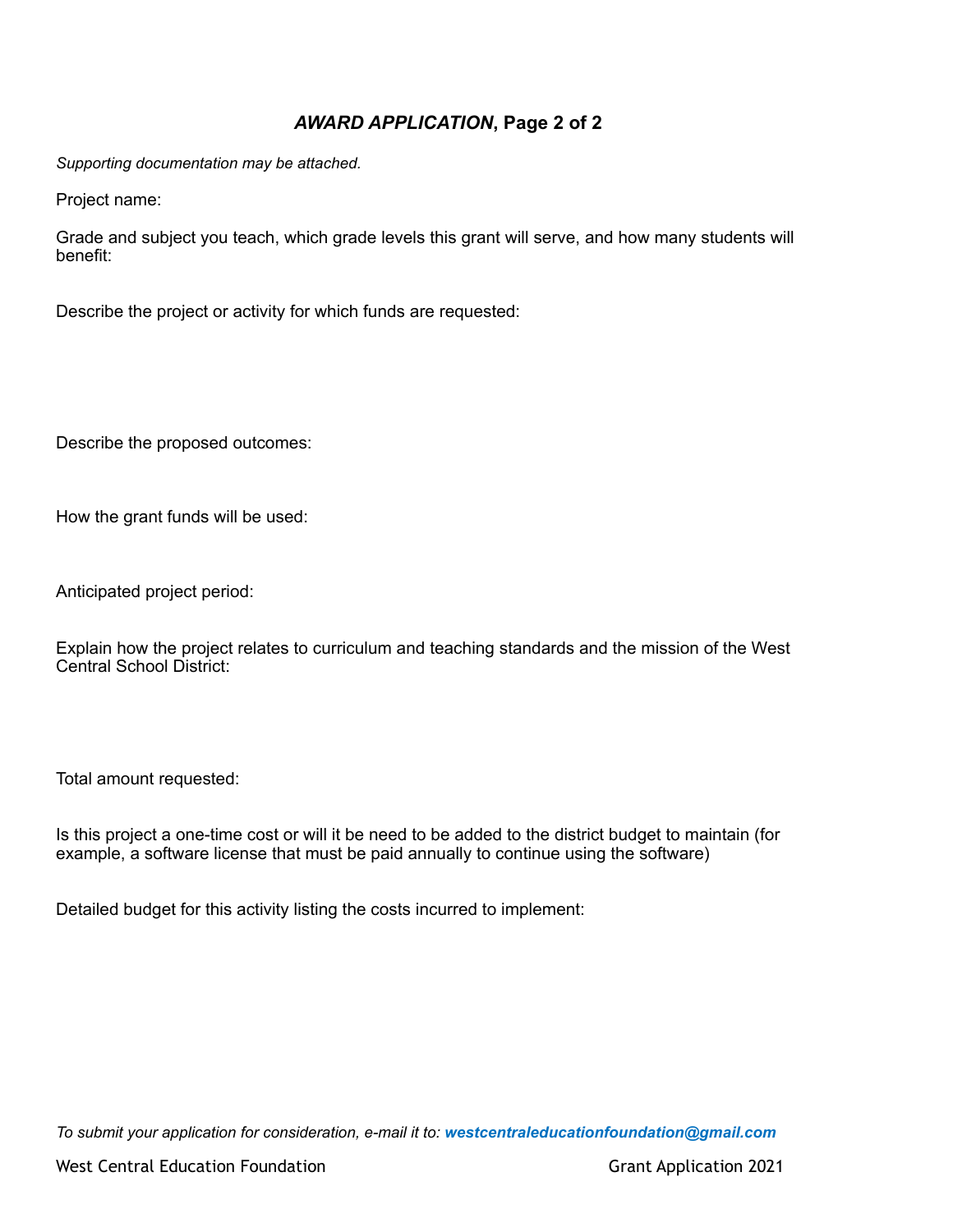# *AWARD APPLICATION***, Page 2 of 2**

*Supporting documentation may be attached.* 

Project name:

Grade and subject you teach, which grade levels this grant will serve, and how many students will benefit:

Describe the project or activity for which funds are requested:

Describe the proposed outcomes:

How the grant funds will be used:

Anticipated project period:

Explain how the project relates to curriculum and teaching standards and the mission of the West Central School District:

Total amount requested:

Is this project a one-time cost or will it be need to be added to the district budget to maintain (for example, a software license that must be paid annually to continue using the software)

Detailed budget for this activity listing the costs incurred to implement:

*To submit your application for consideration, e-mail it to: westcentraleducationfoundation@gmail.com*